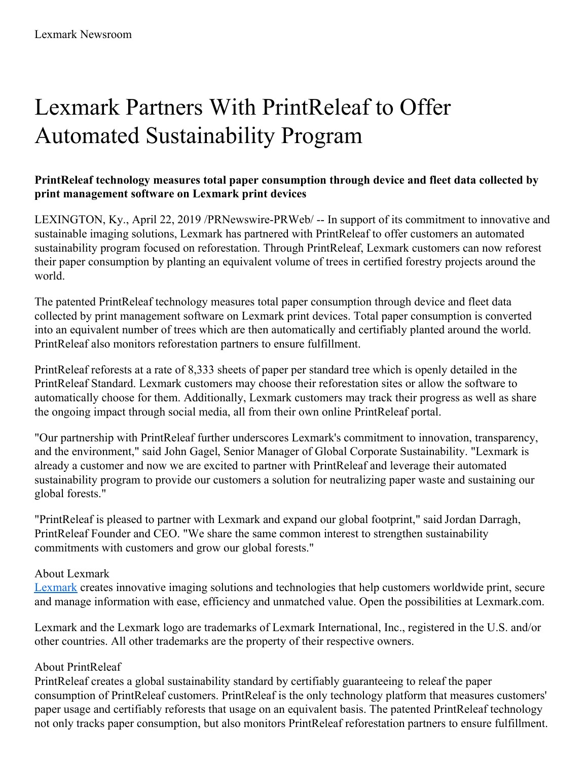## Lexmark Partners With PrintReleaf to Offer Automated Sustainability Program

## **PrintReleaf technology measures total paper consumption through device and fleet data collected by print management software on Lexmark print devices**

LEXINGTON, Ky., April 22, 2019 /PRNewswire-PRWeb/ -- In support of its commitment to innovative and sustainable imaging solutions, Lexmark has partnered with PrintReleaf to offer customers an automated sustainability program focused on reforestation. Through PrintReleaf, Lexmark customers can now reforest their paper consumption by planting an equivalent volume of trees in certified forestry projects around the world.

The patented PrintReleaf technology measures total paper consumption through device and fleet data collected by print management software on Lexmark print devices. Total paper consumption is converted into an equivalent number of trees which are then automatically and certifiably planted around the world. PrintReleaf also monitors reforestation partners to ensure fulfillment.

PrintReleaf reforests at a rate of 8,333 sheets of paper per standard tree which is openly detailed in the PrintReleaf Standard. Lexmark customers may choose their reforestation sites or allow the software to automatically choose for them. Additionally, Lexmark customers may track their progress as well as share the ongoing impact through social media, all from their own online PrintReleaf portal.

"Our partnership with PrintReleaf further underscores Lexmark's commitment to innovation, transparency, and the environment," said John Gagel, Senior Manager of Global Corporate Sustainability. "Lexmark is already a customer and now we are excited to partner with PrintReleaf and leverage their automated sustainability program to provide our customers a solution for neutralizing paper waste and sustaining our global forests."

"PrintReleaf is pleased to partner with Lexmark and expand our global footprint," said Jordan Darragh, PrintReleaf Founder and CEO. "We share the same common interest to strengthen sustainability commitments with customers and grow our global forests."

## About Lexmark

[Lexmark](https://c212.net/c/link/?t=0&l=en&o=2442038-1&h=3967196459&u=http%3A%2F%2Fwww.lexmark.com%2F&a=Lexmark) creates innovative imaging solutions and technologies that help customers worldwide print, secure and manage information with ease, efficiency and unmatched value. Open the possibilities at Lexmark.com.

Lexmark and the Lexmark logo are trademarks of Lexmark International, Inc., registered in the U.S. and/or other countries. All other trademarks are the property of their respective owners.

## About PrintReleaf

PrintReleaf creates a global sustainability standard by certifiably guaranteeing to releaf the paper consumption of PrintReleaf customers. PrintReleaf is the only technology platform that measures customers' paper usage and certifiably reforests that usage on an equivalent basis. The patented PrintReleaf technology not only tracks paper consumption, but also monitors PrintReleaf reforestation partners to ensure fulfillment.